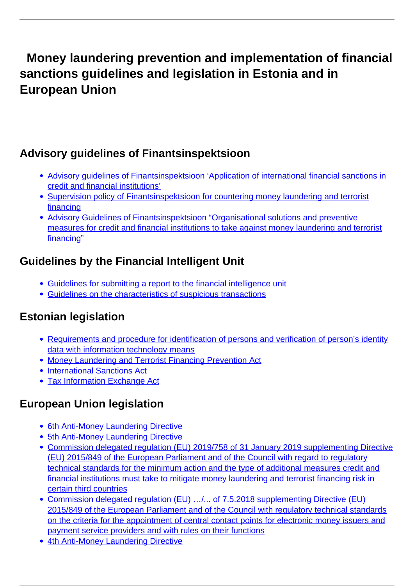# **Money laundering prevention and implementation of financial sanctions guidelines and legislation in Estonia and in European Union**

### **Advisory guidelines of Finantsinspektsioon**

- [Advisory guidelines of Finantsinspektsioon 'Application of international financial sanctions in](https://www.fi.ee/sites/default/files/2021-11/Finantsinspektsiooni%20soovituslik%20juhend%20Finantssanktsiooni%20kohaldamine-EN_0.pdf) [credit and financial institutions'](https://www.fi.ee/sites/default/files/2021-11/Finantsinspektsiooni%20soovituslik%20juhend%20Finantssanktsiooni%20kohaldamine-EN_0.pdf)
- [Supervision policy of Finantsinspektsioon for countering money laundering and terrorist](https://www.fi.ee/sites/default/files/2019-01/RPT Poliitika 2019 %28EN%29_pdf.pdf) [financing](https://www.fi.ee/sites/default/files/2019-01/RPT Poliitika 2019 %28EN%29_pdf.pdf)
- [Advisory Guidelines of Finantsinspektsioon "Organisational solutions and preventive](https://www.fi.ee/sites/default/files/2019-01/FI rahapesu t%C3%B5kestamise juhend 2018 %28EN%29_pdf.pdf) [measures for credit and financial institutions to take against money laundering and terrorist](https://www.fi.ee/sites/default/files/2019-01/FI rahapesu t%C3%B5kestamise juhend 2018 %28EN%29_pdf.pdf) [financing"](https://www.fi.ee/sites/default/files/2019-01/FI rahapesu t%C3%B5kestamise juhend 2018 %28EN%29_pdf.pdf)

### **Guidelines by the Financial Intelligent Unit**

- [Guidelines for submitting a report to the financial intelligence unit](https://www.politsei.ee/files/Rahapesu/rahapesu-andmebueroole-esitatava-teate-esitamise-juhend-en.pdf?eead45cee2)
- [Guidelines on the characteristics of suspicious transactions](https://www.politsei.ee/files/Rahapesu/juhend-kahtlaste-tehingute-tunnuste-kohta-en.pdf?3e4fc8c9fe)

## **Estonian legislation**

- [Requirements and procedure for identification of persons and verification of person's identity](https://www.riigiteataja.ee/en/eli/509012019003/consolide) [data with information technology means](https://www.riigiteataja.ee/en/eli/509012019003/consolide)
- [Money Laundering and Terrorist Financing Prevention Act](https://www.riigiteataja.ee/en/eli/509012020001/consolide)
- [International Sanctions Act](https://www.riigiteataja.ee/en/eli/503022020001/consolide)
- [Tax Information Exchange Act](https://www.riigiteataja.ee/en/eli/514012020003/consolide)

### **European Union legislation**

- [6th Anti-Money Laundering Directive](https://eur-lex.europa.eu/legal-content/En/TXT/PDF/?uri=CELEX:32018L1673)
- [5th Anti-Money Laundering Directive](https://eur-lex.europa.eu/legal-content/En/TXT/PDF/?uri=CELEX:32018L0843)
- [Commission delegated regulation \(EU\) 2019/758 of 31 January 2019 supplementing Directive](https://eur-lex.europa.eu/legal-content/En/TXT/PDF/?uri=CELEX:32019R0758&from=EN) [\(EU\) 2015/849 of the European Parliament and of the Council with regard to regulatory](https://eur-lex.europa.eu/legal-content/En/TXT/PDF/?uri=CELEX:32019R0758&from=EN) [technical standards for the minimum action and the type of additional measures credit and](https://eur-lex.europa.eu/legal-content/En/TXT/PDF/?uri=CELEX:32019R0758&from=EN) [financial institutions must take to mitigate money laundering and terrorist financing risk in](https://eur-lex.europa.eu/legal-content/En/TXT/PDF/?uri=CELEX:32019R0758&from=EN) [certain third countries](https://eur-lex.europa.eu/legal-content/En/TXT/PDF/?uri=CELEX:32019R0758&from=EN)
- Commission delegated regulation (EU) .../... of 7.5.2018 supplementing Directive (EU) [2015/849 of the European Parliament and of the Council with regulatory technical standards](https://eur-lex.europa.eu/legal-content/En/TXT/PDF/?uri=CELEX:32019R0758&from=EN) [on the criteria for the appointment of central contact points for electronic money issuers and](https://eur-lex.europa.eu/legal-content/En/TXT/PDF/?uri=CELEX:32019R0758&from=EN) [payment service providers and with rules on their functions](https://eur-lex.europa.eu/legal-content/En/TXT/PDF/?uri=CELEX:32019R0758&from=EN)
- [4th Anti-Money Laundering Directive](https://eur-lex.europa.eu/legal-content/En/TXT/PDF/?uri=CELEX:32015L0849&from=ET)